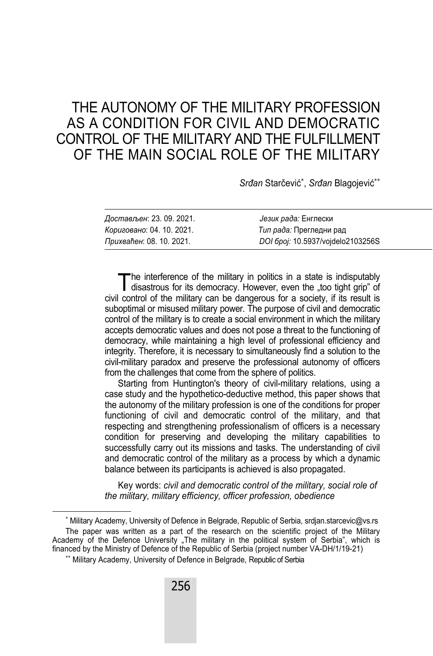# THE AUTONOMY OF THE MILITARY PROFESSION AS A CONDITION FOR CIVIL AND DEMOCRATIC CONTROL OF THE MILITARY AND THE FULFILLMENT OF THE MAIN SOCIAL ROLE OF THE MILITARY

*Srđan* Starčević , *Srđan* Blagojević

| Достављен: 23. 09. 2021.  | Језик рада: Енглески              |
|---------------------------|-----------------------------------|
| Кориговано: 04. 10. 2021. | Тип рада: Прегледни рад           |
| Прихваћен: 08. 10. 2021.  | DOI 6poj: 10.5937/vojdelo2103256S |

he interference of the military in politics in a state is indisputably The interference of the military in politics in a state is indisputably disastrous for its democracy. However, even the "too tight grip" of civil control of the military can be dangerous for a society, if its result is suboptimal or misused military power. The purpose of civil and democratic control of the military is to create a social environment in which the military accepts democratic values and does not pose a threat to the functioning of democracy, while maintaining a high level of professional efficiency and integrity. Therefore, it is necessary to simultaneously find a solution to the civil-military paradox and preserve the professional autonomy of officers from the challenges that come from the sphere of politics.

Starting from Huntington's theory of civil-military relations, using a case study and the hypothetico-deductive method, this paper shows that the autonomy of the military profession is one of the conditions for proper functioning of civil and democratic control of the military, and that respecting and strengthening professionalism of officers is a necessary condition for preserving and developing the military capabilities to successfully carry out its missions and tasks. The understanding of civil and democratic control of the military as a process by which a dynamic balance between its participants is achieved is also propagated.

Key words: *civil and democratic control of the military, social role of the military, military efficiency, officer profession, obedience*

 Military Academy, University of Defence in Belgrade, Republic of Serbia, srdjan.starcevic@vs.rs The paper was written as a part of the research on the scientific project of the Military Academy of the Defence University "The military in the political system of Serbia", which is financed by the Ministry of Defence of the Republic of Serbia (project number VA-DH/1/19-21) \*\* Military Academy, University of Defence in Belgrade, Republic of Serbia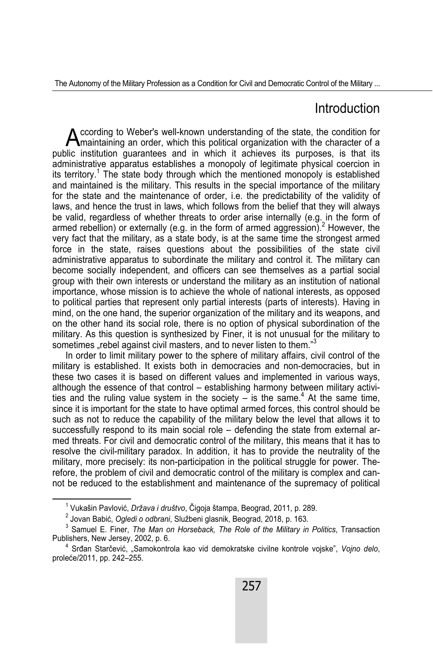### Introduction

ccording to Weber's well-known understanding of the state, the condition for  $\bigwedge$  ccording to Weber's well-known understanding of the state, the condition for  $\bigwedge$  maintaining an order, which this political organization with the character of a public institution guarantees and in which it achieves its purposes, is that its administrative apparatus establishes a monopoly of legitimate physical coercion in its territory.<sup>1</sup> The state body through which the mentioned monopoly is established and maintained is the military. This results in the special importance of the military for the state and the maintenance of order, i.e. the predictability of the validity of laws, and hence the trust in laws, which follows from the belief that they will always be valid, regardless of whether threats to order arise internally (e.g. in the form of armed rebellion) or externally (e.g. in the form of armed aggression). $^2$  However, the very fact that the military, as a state body, is at the same time the strongest armed force in the state, raises questions about the possibilities of the state civil administrative apparatus to subordinate the military and control it. The military can become socially independent, and officers can see themselves as a partial social group with their own interests or understand the military as an institution of national importance, whose mission is to achieve the whole of national interests, as opposed to political parties that represent only partial interests (parts of interests). Having in mind, on the one hand, the superior organization of the military and its weapons, and on the other hand its social role, there is no option of physical subordination of the military. As this question is synthesized by Finer, it is not unusual for the military to sometimes "rebel against civil masters, and to never listen to them."<sup>3</sup>

In order to limit military power to the sphere of military affairs, civil control of the military is established. It exists both in democracies and non-democracies, but in these two cases it is based on different values and implemented in various ways, although the essence of that control – establishing harmony between military activities and the ruling value system in the society  $-$  is the same.<sup>4</sup> At the same time, since it is important for the state to have optimal armed forces, this control should be such as not to reduce the capability of the military below the level that allows it to successfully respond to its main social role – defending the state from external armed threats. For civil and democratic control of the military, this means that it has to resolve the civil-military paradox. In addition, it has to provide the neutrality of the military, more precisely: its non-participation in the political struggle for power. Therefore, the problem of civil and democratic control of the military is complex and cannot be reduced to the establishment and maintenance of the supremacy of political

 $\overline{\phantom{0}}$ Vukašin Pavlović, *Država i društvo*, Čigoja štampa, Beograd, 2011, p. 289. 2

<sup>&</sup>lt;sup>2</sup> Jovan Babić, *Ogledi o odbrani*, Službeni glasnik, Beograd, 2018, p. 163.

<sup>&</sup>lt;sup>3</sup> Samuel E. Finer, *The Man on Horseback, The Role of the Military in Politics*, Transaction Publishers, New Jersey, 2002, p. 6. 4

Srđan Starčević, "Samokontrola kao vid demokratske civilne kontrole vojske", *Vojno delo*, proleće/2011, pp. 242–255.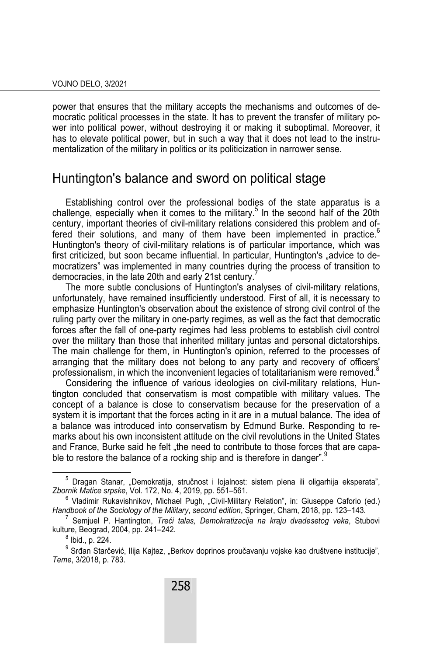power that ensures that the military accepts the mechanisms and outcomes of democratic political processes in the state. It has to prevent the transfer of military power into political power, without destroying it or making it suboptimal. Moreover, it has to elevate political power, but in such a way that it does not lead to the instrumentalization of the military in politics or its politicization in narrower sense.

### Huntington's balance and sword on political stage

Establishing control over the professional bodies of the state apparatus is a challenge, especially when it comes to the military.<sup>5</sup> In the second half of the 20th century, important theories of civil-military relations considered this problem and offered their solutions, and many of them have been implemented in practice. $<sup>6</sup>$ </sup> Huntington's theory of civil-military relations is of particular importance, which was first criticized, but soon became influential. In particular, Huntington's "advice to democratizers" was implemented in many countries during the process of transition to democracies, in the late 20th and early 21st century.<sup>1</sup>

The more subtle conclusions of Huntington's analyses of civil-military relations, unfortunately, have remained insufficiently understood. First of all, it is necessary to emphasize Huntington's observation about the existence of strong civil control of the ruling party over the military in one-party regimes, as well as the fact that democratic forces after the fall of one-party regimes had less problems to establish civil control over the military than those that inherited military juntas and personal dictatorships. The main challenge for them, in Huntington's opinion, referred to the processes of arranging that the military does not belong to any party and recovery of officers' professionalism, in which the inconvenient legacies of totalitarianism were removed.<sup>8</sup>

Considering the influence of various ideologies on civil-military relations, Huntington concluded that conservatism is most compatible with military values. The concept of a balance is close to conservatism because for the preservation of a system it is important that the forces acting in it are in a mutual balance. The idea of a balance was introduced into conservatism by Edmund Burke. Responding to remarks about his own inconsistent attitude on the civil revolutions in the United States and France, Burke said he felt "the need to contribute to those forces that are capable to restore the balance of a rocking ship and is therefore in danger".<sup>9</sup>

 $\overline{\phantom{0}}$ <sup>5</sup> Dragan Stanar, "Demokratija, stručnost i lojalnost: sistem plena ili oligarhija eksperata", *Zbornik Matice srpske*, Vol. 172, No. 4, 2019, pp. 551–561. 6

 $6$  Vladimir Rukavishnikov, Michael Pugh, "Civil-Military Relation", in: Giuseppe Caforio (ed.) *Handbook of the Sociology of the Military*, *second edition*, Springer, Cham, 2018, pp. 123–143. 7

Semjuel P. Hantington, *Treći talas, Demokratizacija na kraju dvadesetog veka*, Stubovi kulture, Beograd, 2004, pp. 241–242. 8

 $<sup>8</sup>$  Ibid., p. 224.</sup>

 $^9$  Srđan Starčević, Ilija Kajtez, "Berkov doprinos proučavanju vojske kao društvene institucije", *Teme*, 3/2018, p. 783.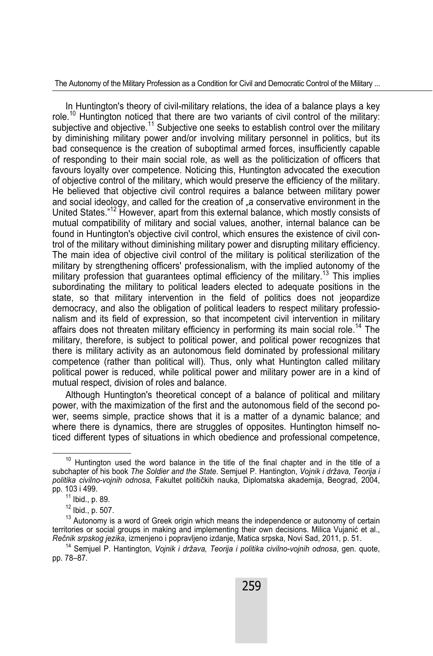In Huntington's theory of civil-military relations, the idea of a balance plays a key role.<sup>10</sup> Huntington noticed that there are two variants of civil control of the military: subjective and objective.<sup>11</sup> Subjective one seeks to establish control over the military by diminishing military power and/or involving military personnel in politics, but its bad consequence is the creation of suboptimal armed forces, insufficiently capable of responding to their main social role, as well as the politicization of officers that favours loyalty over competence. Noticing this, Huntington advocated the execution of objective control of the military, which would preserve the efficiency of the military. He believed that objective civil control requires a balance between military power and social ideology, and called for the creation of "a conservative environment in the United States."12 However, apart from this external balance, which mostly consists of mutual compatibility of military and social values, another, internal balance can be found in Huntington's objective civil control, which ensures the existence of civil control of the military without diminishing military power and disrupting military efficiency. The main idea of objective civil control of the military is political sterilization of the military by strengthening officers' professionalism, with the implied autonomy of the military profession that quarantees optimal efficiency of the military.<sup>13</sup> This implies subordinating the military to political leaders elected to adequate positions in the state, so that military intervention in the field of politics does not jeopardize democracy, and also the obligation of political leaders to respect military professionalism and its field of expression, so that incompetent civil intervention in military affairs does not threaten military efficiency in performing its main social role.<sup>14</sup> The military, therefore, is subject to political power, and political power recognizes that there is military activity as an autonomous field dominated by professional military competence (rather than political will). Thus, only what Huntington called military political power is reduced, while political power and military power are in a kind of mutual respect, division of roles and balance.

Although Huntington's theoretical concept of a balance of political and military power, with the maximization of the first and the autonomous field of the second power, seems simple, practice shows that it is a matter of a dynamic balance; and where there is dynamics, there are struggles of opposites. Huntington himself noticed different types of situations in which obedience and professional competence,

 $10$  Huntington used the word balance in the title of the final chapter and in the title of a subchapter of his book *The Soldier and the State*. Semjuel P. Hantington, *Vojnik i država, Teorija i politika civilno-vojnih odnosa*, Fakultet političkih nauka, Diplomatska akademija, Beograd, 2004,

 $11$  Ibid., p. 89.

 $12$  Ibid., p. 507.

 $13$  Autonomy is a word of Greek origin which means the independence or autonomy of certain territories or social groups in making and implementing their own decisions. Milica Vujanić et al., *Rečnik srpskog jezika*, izmenjeno i popravljeno izdanje, Matica srpska, Novi Sad, 2011, p. 51.

<sup>14</sup> Semjuel P. Hantington, *Vojnik i država, Teorija i politika civilno-vojnih odnosa*, gen. quote, pp. 78–87.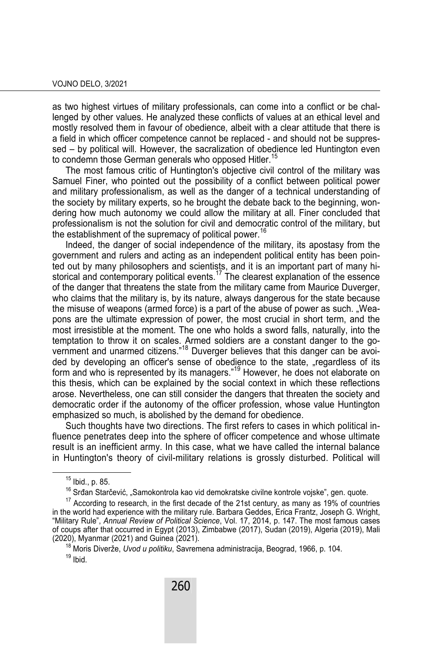as two highest virtues of military professionals, can come into a conflict or be challenged by other values. He analyzed these conflicts of values at an ethical level and mostly resolved them in favour of obedience, albeit with a clear attitude that there is a field in which officer competence cannot be replaced - and should not be suppressed – by political will. However, the sacralization of obedience led Huntington even to condemn those German generals who opposed Hitler.<sup>15</sup>

The most famous critic of Huntington's objective civil control of the military was Samuel Finer, who pointed out the possibility of a conflict between political power and military professionalism, as well as the danger of a technical understanding of the society by military experts, so he brought the debate back to the beginning, wondering how much autonomy we could allow the military at all. Finer concluded that professionalism is not the solution for civil and democratic control of the military, but the establishment of the supremacy of political power.<sup>16</sup>

Indeed, the danger of social independence of the military, its apostasy from the government and rulers and acting as an independent political entity has been pointed out by many philosophers and scientists, and it is an important part of many historical and contemporary political events.<sup>17</sup> The clearest explanation of the essence of the danger that threatens the state from the military came from Maurice Duverger, who claims that the military is, by its nature, always dangerous for the state because the misuse of weapons (armed force) is a part of the abuse of power as such. "Weapons are the ultimate expression of power, the most crucial in short term, and the most irresistible at the moment. The one who holds a sword falls, naturally, into the temptation to throw it on scales. Armed soldiers are a constant danger to the government and unarmed citizens."18 Duverger believes that this danger can be avoided by developing an officer's sense of obedience to the state, "regardless of its form and who is represented by its managers."19 However, he does not elaborate on this thesis, which can be explained by the social context in which these reflections arose. Nevertheless, one can still consider the dangers that threaten the society and democratic order if the autonomy of the officer profession, whose value Huntington emphasized so much, is abolished by the demand for obedience.

Such thoughts have two directions. The first refers to cases in which political influence penetrates deep into the sphere of officer competence and whose ultimate result is an inefficient army. In this case, what we have called the internal balance in Huntington's theory of civil-military relations is grossly disturbed. Political will

<sup>&</sup>lt;sup>15</sup> Ibid., p. 85.<br><sup>16</sup> Srđan Starčević. "Samokontrola kao vid demokratske civilne kontrole vojske", gen. quote.

 $17$  According to research, in the first decade of the 21st century, as many as 19% of countries in the world had experience with the military rule. Barbara Geddes, Erica Frantz, Joseph G. Wright, "Military Rule", *Annual Review of Political Science*, Vol. 17, 2014, p. 147. The most famous cases of coups after that occurred in Egypt (2013), Zimbabwe (2017), Sudan (2019), Algeria (2019), Mali<br>(2020), Myanmar (2021) and Guinea (2021).

<sup>&</sup>lt;sup>18</sup> Moris Diverže, *Uvod u politiku*, Savremena administracija, Beograd, 1966, p. 104.  $19$  Ibid.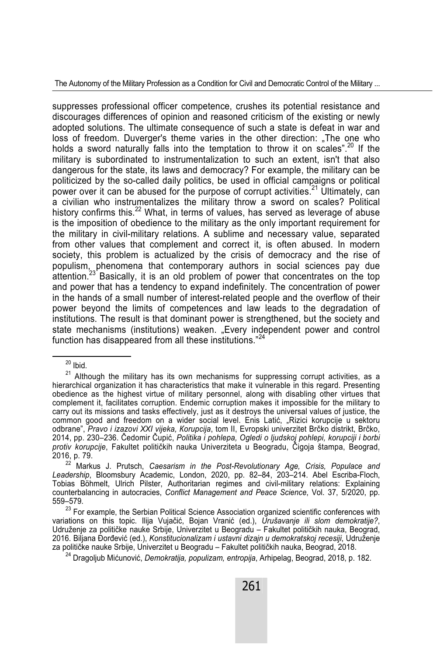suppresses professional officer competence, crushes its potential resistance and discourages differences of opinion and reasoned criticism of the existing or newly adopted solutions. The ultimate consequence of such a state is defeat in war and loss of freedom. Duverger's theme varies in the other direction: "The one who holds a sword naturally falls into the temptation to throw it on scales".<sup>20</sup> If the military is subordinated to instrumentalization to such an extent, isn't that also dangerous for the state, its laws and democracy? For example, the military can be politicized by the so-called daily politics, be used in official campaigns or political power over it can be abused for the purpose of corrupt activities.<sup>21</sup> Ultimately, can a civilian who instrumentalizes the military throw a sword on scales? Political history confirms this.<sup>22</sup> What, in terms of values, has served as leverage of abuse is the imposition of obedience to the military as the only important requirement for the military in civil-military relations. A sublime and necessary value, separated from other values that complement and correct it, is often abused. In modern society, this problem is actualized by the crisis of democracy and the rise of populism, phenomena that contemporary authors in social sciences pay due attention. $^{23}$  Basically, it is an old problem of power that concentrates on the top and power that has a tendency to expand indefinitely. The concentration of power in the hands of a small number of interest-related people and the overflow of their power beyond the limits of competences and law leads to the degradation of institutions. The result is that dominant power is strengthened, but the society and state mechanisms (institutions) weaken. "Every independent power and control function has disappeared from all these institutions."<sup>24</sup>

 $20$  Ibid.

 $21$  Although the military has its own mechanisms for suppressing corrupt activities, as a hierarchical organization it has characteristics that make it vulnerable in this regard. Presenting obedience as the highest virtue of military personnel, along with disabling other virtues that complement it, facilitates corruption. Endemic corruption makes it impossible for the military to carry out its missions and tasks effectively, just as it destroys the universal values of justice, the common good and freedom on a wider social level. Enis Latić, "Rizici korupcije u sektoru odbrane", *Pravo i izazovi XXI vijeka, Кorupcija*, tom II, Evropski univerzitet Brčko distrikt, Brčko, 2014, pp. 230–236. Čedomir Čupić, *Politika i pohlepa, Ogledi o ljudskoj pohlepi, korupciji i borbi protiv korupcije*, Fakultet političkih nauka Univerziteta u Beogradu, Čigoja štampa, Beograd, 2016, p. 79.

<sup>22</sup> Markus J. Prutsch, *Caesarism in the Post-Revolutionary Age, Crisis, Populace and Leadership*, Bloomsbury Academic, London, 2020, pp. 82–84, 203–214. Abel Escriba-Floch, Tobias Böhmelt, Ulrich Pilster, Authoritarian regimes and civil-military relations: Explaining counterbalancing in autocracies, *Conflict Management and Peace Science*, Vol. 37, 5/2020, pp.

<sup>559–579. 23</sup> For example, the Serbian Political Science Association organized scientific conferences with variations on this topic. Ilija Vujačić, Bojan Vranić (ed.), *Urušavanje ili slom demokratije?*, Udruženje za političke nauke Srbije, Univerzitet u Beogradu – Fakultet političkih nauka, Beograd, 2016. Biljana Đorđević (ed.), *Konstitucionalizam i ustavni dizajn u demokratskoj recesiji*, Udruženje<br>za političke nauke Srbije, Univerzitet u Beogradu – Fakultet političkih nauka, Beograd, 2018.

<sup>&</sup>lt;sup>24</sup> Dragoljub Mićunović, Demokratija, populizam, entropija, Arhipelag, Beograd, 2018, p. 182.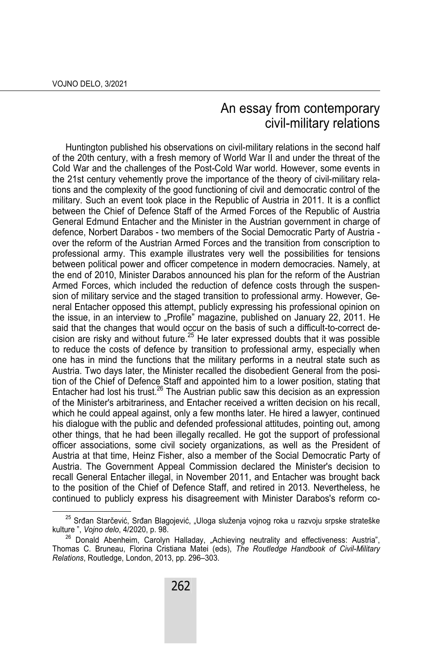## An essay from contemporary civil-military relations

Huntington published his observations on civil-military relations in the second half of the 20th century, with a fresh memory of World War II and under the threat of the Cold War and the challenges of the Post-Cold War world. However, some events in the 21st century vehemently prove the importance of the theory of civil-military relations and the complexity of the good functioning of civil and democratic control of the military. Such an event took place in the Republic of Austria in 2011. It is a conflict between the Chief of Defence Staff of the Armed Forces of the Republic of Austria General Edmund Entacher and the Minister in the Austrian government in charge of defence, Norbert Darabos - two members of the Social Democratic Party of Austria over the reform of the Austrian Armed Forces and the transition from conscription to professional army. This example illustrates very well the possibilities for tensions between political power and officer competence in modern democracies. Namely, at the end of 2010, Minister Darabos announced his plan for the reform of the Austrian Armed Forces, which included the reduction of defence costs through the suspension of military service and the staged transition to professional army. However, General Entacher opposed this attempt, publicly expressing his professional opinion on the issue, in an interview to "Profile" magazine, published on January 22, 2011. He said that the changes that would occur on the basis of such a difficult-to-correct decision are risky and without future.<sup>25</sup> He later expressed doubts that it was possible to reduce the costs of defence by transition to professional army, especially when one has in mind the functions that the military performs in a neutral state such as Austria. Two days later, the Minister recalled the disobedient General from the position of the Chief of Defence Staff and appointed him to a lower position, stating that Entacher had lost his trust.<sup>26</sup> The Austrian public saw this decision as an expression of the Minister's arbitrariness, and Entacher received a written decision on his recall, which he could appeal against, only a few months later. He hired a lawyer, continued his dialogue with the public and defended professional attitudes, pointing out, among other things, that he had been illegally recalled. He got the support of professional officer associations, some civil society organizations, as well as the President of Austria at that time, Heinz Fisher, also a member of the Social Democratic Party of Austria. The Government Appeal Commission declared the Minister's decision to recall General Entacher illegal, in November 2011, and Entacher was brought back to the position of the Chief of Defence Staff, and retired in 2013. Nevertheless, he continued to publicly express his disagreement with Minister Darabos's reform co-

<sup>&</sup>lt;sup>25</sup> Srđan Starčević, Srđan Blagojević, "Uloga služenja vojnog roka u razvoju srpske strateške kulture ", *Vojno delo*, 4/2020, p. 98.

 $26$  Donald Abenheim, Carolyn Halladay, "Achieving neutrality and effectiveness: Austria", Thomas C. Bruneau, Florina Cristiana Matei (eds), *The Routledge Handbook of Civil-Military Relations*, Routledge, London, 2013, pp. 296–303.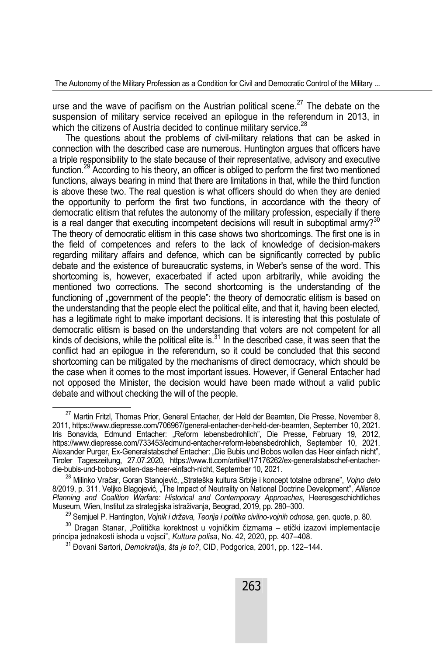urse and the wave of pacifism on the Austrian political scene.<sup>27</sup> The debate on the suspension of military service received an epiloque in the referendum in 2013, in which the citizens of Austria decided to continue military service.<sup>28</sup>

The questions about the problems of civil-military relations that can be asked in connection with the described case are numerous. Huntington argues that officers have a triple responsibility to the state because of their representative, advisory and executive function.<sup>29</sup> According to his theory, an officer is obliged to perform the first two mentioned functions, always bearing in mind that there are limitations in that, while the third function is above these two. The real question is what officers should do when they are denied the opportunity to perform the first two functions, in accordance with the theory of democratic elitism that refutes the autonomy of the military profession, especially if there is a real danger that executing incompetent decisions will result in suboptimal armv?<sup>30</sup> The theory of democratic elitism in this case shows two shortcomings. The first one is in the field of competences and refers to the lack of knowledge of decision-makers regarding military affairs and defence, which can be significantly corrected by public debate and the existence of bureaucratic systems, in Weber's sense of the word. This shortcoming is, however, exacerbated if acted upon arbitrarily, while avoiding the mentioned two corrections. The second shortcoming is the understanding of the functioning of "government of the people": the theory of democratic elitism is based on the understanding that the people elect the political elite, and that it, having been elected, has a legitimate right to make important decisions. It is interesting that this postulate of democratic elitism is based on the understanding that voters are not competent for all kinds of decisions, while the political elite is.31 In the described case, it was seen that the conflict had an epilogue in the referendum, so it could be concluded that this second shortcoming can be mitigated by the mechanisms of direct democracy, which should be the case when it comes to the most important issues. However, if General Entacher had not opposed the Minister, the decision would have been made without a valid public debate and without checking the will of the people.

<sup>&</sup>lt;sup>27</sup> Martin Fritzl, Thomas Prior, General Entacher, der Held der Beamten, Die Presse, November 8, 2011, https://www.diepresse.com/706967/general-entacher-der-held-der-beamten, September 10, 2021. Iris Bonavida, Edmund Entacher: "Reform lebensbedrohlich", Die Presse, February 19, 2012, https://www.diepresse.com/733453/edmund-entacher-reform-lebensbedrohlich, September 10, 2021. Alexander Purger, Ex-Generalstabschef Entacher: "Die Bubis und Bobos wollen das Heer einfach nicht", Tiroler Tageszeitung, 27.07.2020, https://www.tt.com/artikel/17176262/ex-generalstabschef-entacher-

<sup>&</sup>lt;sup>28</sup> Milinko Vračar, Goran Stanojević, "Strateška kultura Srbije i koncept totalne odbrane", *Vojno delo* 8/2019, p. 311. Veljko Blagojević, "The Impact of Neutrality on National Doctrine Development", Alliance *Planning and Coalition Warfare: Historical and Contemporary Approaches*, Heeresgeschichtliches

<sup>&</sup>lt;sup>29</sup> Semjuel P. Hantington, *Vojnik i država, Teorija i politika civilno-vojnih odnosa*, gen. quote, p. 80.<br><sup>30</sup> Dragan Stanar, "Politička korektnost u vojničkim čizmama – etički izazovi implementacije<br>principa jednakosti

<sup>&</sup>lt;sup>31</sup> Đovani Sartori, *Demokratija, šta je to?*, CID, Podgorica, 2001, pp. 122–144.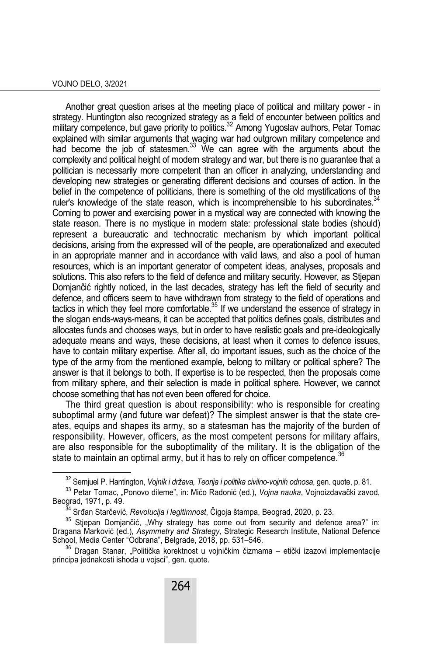#### VOJNO DELO, 3/2021

Another great question arises at the meeting place of political and military power - in strategy. Huntington also recognized strategy as a field of encounter between politics and military competence, but gave priority to politics.<sup>32</sup> Among Yugoslav authors, Petar Tomac explained with similar arguments that waging war had outgrown military competence and had become the job of statesmen.<sup>33</sup> We can agree with the arguments about the complexity and political height of modern strategy and war, but there is no guarantee that a politician is necessarily more competent than an officer in analyzing, understanding and developing new strategies or generating different decisions and courses of action. In the belief in the competence of politicians, there is something of the old mystifications of the ruler's knowledge of the state reason, which is incomprehensible to his subordinates.  $34$ Coming to power and exercising power in a mystical way are connected with knowing the state reason. There is no mystique in modern state: professional state bodies (should) represent a bureaucratic and technocratic mechanism by which important political decisions, arising from the expressed will of the people, are operationalized and executed in an appropriate manner and in accordance with valid laws, and also a pool of human resources, which is an important generator of competent ideas, analyses, proposals and solutions. This also refers to the field of defence and military security. However, as Stjepan Domjančić rightly noticed, in the last decades, strategy has left the field of security and defence, and officers seem to have withdrawn from strategy to the field of operations and tactics in which they feel more comfortable. $35$  If we understand the essence of strategy in the slogan ends-ways-means, it can be accepted that politics defines goals, distributes and allocates funds and chooses ways, but in order to have realistic goals and pre-ideologically adequate means and ways, these decisions, at least when it comes to defence issues, have to contain military expertise. After all, do important issues, such as the choice of the type of the army from the mentioned example, belong to military or political sphere? The answer is that it belongs to both. If expertise is to be respected, then the proposals come from military sphere, and their selection is made in political sphere. However, we cannot choose something that has not even been offered for choice.

The third great question is about responsibility: who is responsible for creating suboptimal army (and future war defeat)? The simplest answer is that the state creates, equips and shapes its army, so a statesman has the majority of the burden of responsibility. However, officers, as the most competent persons for military affairs, are also responsible for the suboptimality of the military. It is the obligation of the state to maintain an optimal army, but it has to rely on officer competence.  $36$ 

<sup>&</sup>lt;sup>32</sup> Semjuel P. Hantington, *Vojnik i država, Teorija i politika civilno-vojnih odnosa*, gen. quote, p. 81.<br><sup>33</sup> Petar Tomac, "Ponovo dileme", in: Mićo Radonić (ed.), *Vojna nauka*, Vojnoizdavački zavod,<br>Beograd, 1971, p.

<sup>&</sup>lt;sup>34</sup> Srđan Starčević, *Revolucija i legitimnost*, Čigoja štampa, Beograd, 2020, p. 23. 35 Stjepan Domjančić, "Why strategy has come out from security and defence area?" in: Dragana Marković (ed.), *Asymmetry and Strategy, Strategic Research Institute, National Defence*<br>School, Media Center "Odbrana", Belgrade, 2018, pp. 531–546.

<sup>&</sup>lt;sup>36</sup> Dragan Stanar, "Politička korektnost u vojničkim čizmama – etički izazovi implementacije principa jednakosti ishoda u vojsci", gen. quote.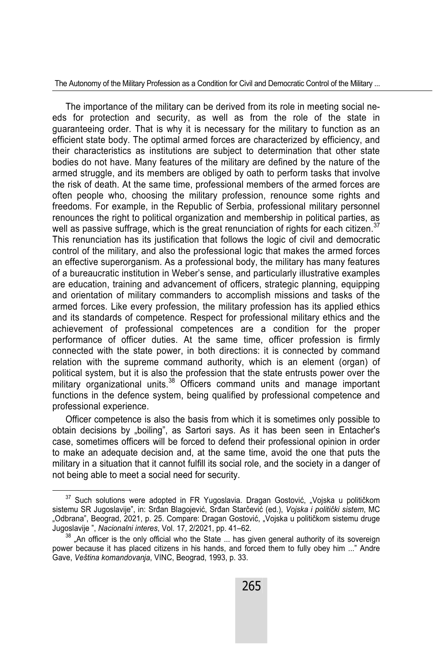The importance of the military can be derived from its role in meeting social needs for protection and security, as well as from the role of the state in guaranteeing order. That is why it is necessary for the military to function as an efficient state body. The optimal armed forces are characterized by efficiency, and their characteristics as institutions are subject to determination that other state bodies do not have. Many features of the military are defined by the nature of the armed struggle, and its members are obliged by oath to perform tasks that involve the risk of death. At the same time, professional members of the armed forces are often people who, choosing the military profession, renounce some rights and freedoms. For example, in the Republic of Serbia, professional military personnel renounces the right to political organization and membership in political parties, as well as passive suffrage, which is the great renunciation of rights for each citizen.<sup>37</sup> This renunciation has its justification that follows the logic of civil and democratic control of the military, and also the professional logic that makes the armed forces an effective superorganism. As a professional body, the military has many features of a bureaucratic institution in Weber's sense, and particularly illustrative examples are education, training and advancement of officers, strategic planning, equipping and orientation of military commanders to accomplish missions and tasks of the armed forces. Like every profession, the military profession has its applied ethics and its standards of competence. Respect for professional military ethics and the achievement of professional competences are a condition for the proper performance of officer duties. At the same time, officer profession is firmly connected with the state power, in both directions: it is connected by command relation with the supreme command authority, which is an element (organ) of political system, but it is also the profession that the state entrusts power over the military organizational units.<sup>38</sup> Officers command units and manage important functions in the defence system, being qualified by professional competence and professional experience.

Officer competence is also the basis from which it is sometimes only possible to obtain decisions by "boiling", as Sartori says. As it has been seen in Entacher's case, sometimes officers will be forced to defend their professional opinion in order to make an adequate decision and, at the same time, avoid the one that puts the military in a situation that it cannot fulfill its social role, and the society in a danger of not being able to meet a social need for security.

 $37$  Such solutions were adopted in FR Yugoslavia. Dragan Gostović, "Vojska u političkom sistemu SR Jugoslavije", in: Srđan Blagojević, Srđan Starčević (ed.), *Vojska i politički sistem*, MC "Odbrana", Beograd, 2021, p. 25. Compare: Dragan Gostović, "Vojska u političkom sistemu druge<br>Jugoslavije ", *Nacionalni interes*, Vol. 17, 2/2021, pp. 41–62.

 $38$  "An officer is the only official who the State ... has given general authority of its sovereign power because it has placed citizens in his hands, and forced them to fully obey him ..." Andre Gave, *Veština komandovanja*, VINC, Beograd, 1993, p. 33.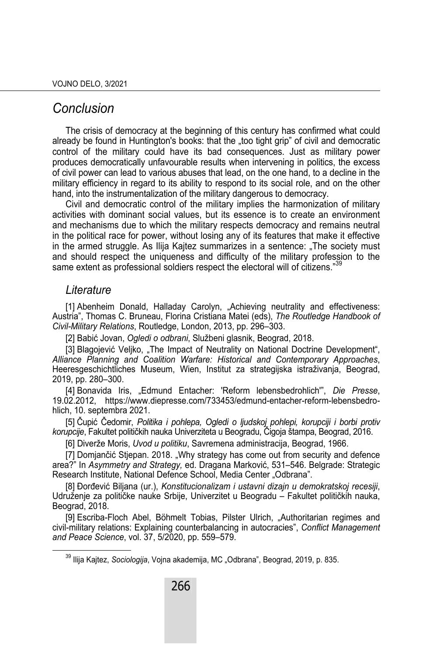### *Conclusion*

The crisis of democracy at the beginning of this century has confirmed what could already be found in Huntington's books: that the "too tight grip" of civil and democratic control of the military could have its bad consequences. Just as military power produces democratically unfavourable results when intervening in politics, the excess of civil power can lead to various abuses that lead, on the one hand, to a decline in the military efficiency in regard to its ability to respond to its social role, and on the other hand, into the instrumentalization of the military dangerous to democracy.

Civil and democratic control of the military implies the harmonization of military activities with dominant social values, but its essence is to create an environment and mechanisms due to which the military respects democracy and remains neutral in the political race for power, without losing any of its features that make it effective in the armed struggle. As Ilija Kajtez summarizes in a sentence: "The society must and should respect the uniqueness and difficulty of the military profession to the same extent as professional soldiers respect the electoral will of citizens."<sup>39</sup>

### *Literature*

[1] Abenheim Donald, Halladay Carolyn, "Achieving neutrality and effectiveness: Austria", Thomas C. Bruneau, Florina Cristiana Matei (eds), *The Routledge Handbook of Civil-Military Relations*, Routledge, London, 2013, pp. 296–303.

[2] Babić Jovan, *Ogledi o odbrani*, Službeni glasnik, Beograd, 2018.

[3] Blagojević Veljko, "The Impact of Neutrality on National Doctrine Development", *Alliance Planning and Coalition Warfare: Historical and Contemporary Approaches*, Heeresgeschichtliches Museum, Wien, Institut za strategijska istraživanja, Beograd, 2019, pp. 280–300.

[4] Bonavida Iris, "Edmund Entacher: 'Reform lebensbedrohlich'", *Die Presse*, 19.02.2012, https://www.diepresse.com/733453/edmund-entacher-reform-lebensbedrohlich, 10. septembra 2021.

[5] Čupić Čedomir, *Politika i pohlepa, Ogledi o ljudskoj pohlepi, korupciji i borbi protiv korupcije*, Fakultet političkih nauka Univerziteta u Beogradu, Čigoja štampa, Beograd, 2016.

[6] Diverže Moris, *Uvod u politiku*, Savremena administracija, Beograd, 1966.

[7] Domjančić Stjepan. 2018. "Why strategy has come out from security and defence area?" In *Asymmetry and Strategy,* ed. Dragana Marković, 531–546. Belgrade: Strategic Research Institute, National Defence School, Media Center "Odbrana".

[8] Đorđević Biljana (ur.), *Konstitucionalizam i ustavni dizajn u demokratskoj recesiji*, Udruženje za političke nauke Srbije, Univerzitet u Beogradu – Fakultet političkih nauka, Beograd, 2018.

[9] Escriba-Floch Abel, Böhmelt Tobias, Pilster Ulrich, "Authoritarian regimes and civil-military relations: Explaining counterbalancing in autocracies", *Conflict Management and Peace Science*, vol. 37, 5/2020, pp. 559–579.

<sup>&</sup>lt;sup>39</sup> Iliia Kaitez, *Sociologiia*, Voina akademija, MC "Odbrana", Beograd, 2019, p. 835.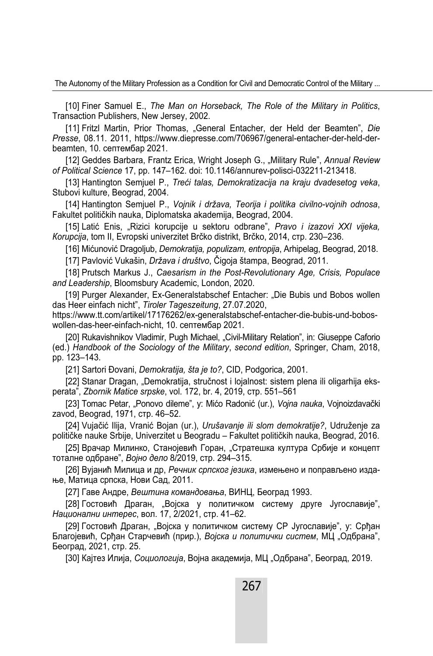[10] Finer Samuel E., *The Man on Horseback, The Role of the Military in Politics*, Transaction Publishers, New Jersey, 2002.

[11] Fritzl Martin, Prior Thomas, "General Entacher, der Held der Beamten", *Die Presse*, 08.11. 2011, https://www.diepresse.com/706967/general-entacher-der-held-derbeamten, 10. септембар 2021.

[12] Geddes Barbara, Frantz Erica, Wright Joseph G., "Military Rule", Annual Review *of Political Science* 17, pp. 147–162. doi: 10.1146/annurev-polisci-032211-213418.

[13] Hantington Semjuel P., *Treći talas, Demokratizacija na kraju dvadesetog veka*, Stubovi kulture, Beograd, 2004.

[14] Hantington Semjuel P., *Vojnik i država, Teorija i politika civilno-vojnih odnosa*, Fakultet političkih nauka, Diplomatska akademija, Beograd, 2004.

[15] Latić Enis, "Rizici korupcije u sektoru odbrane", *Pravo i izazovi XXI vijeka, Кorupcija*, tom II, Evropski univerzitet Brčko distrikt, Brčko, 2014, стр. 230–236.

[16] Mićunović Dragoljub, *Demokratija, populizam, entropija*, Arhipelag, Beograd, 2018.

[17] Pavlović Vukašin, *Država i društvo*, Čigoja štampa, Beograd, 2011.

[18] Prutsch Markus J., *Caesarism in the Post-Revolutionary Age, Crisis, Populace and Leadership*, Bloomsbury Academic, London, 2020.

[19] Purger Alexander, Ex-Generalstabschef Entacher: "Die Bubis und Bobos wollen das Heer einfach nicht", *Tiroler Tageszeitung*, 27.07.2020,

https://www.tt.com/artikel/17176262/ex-generalstabschef-entacher-die-bubis-und-boboswollen-das-heer-einfach-nicht, 10. септембар 2021.

[20] Rukavishnikov Vladimir, Pugh Michael, "Civil-Military Relation", in: Giuseppe Caforio (ed.) *Handbook of the Sociology of the Military*, *second edition*, Springer, Cham, 2018, pp. 123–143.

[21] Sartori Đovani, *Demokratija, šta je to?*, CID, Podgorica, 2001.

[22] Stanar Dragan, "Demokratija, stručnost i lojalnost: sistem plena ili oligarhija eksperata", *Zbornik Matice srpske*, vol. 172, br. 4, 2019, стр. 551–561

[23] Tomac Petar, "Ponovo dileme", у: Mićo Radonić (ur.), *Vojna nauka*, Vojnoizdavački zavod, Beograd, 1971, стр. 46–52.

[24] Vujačić Ilija, Vranić Bojan (ur.), *Urušavanje ili slom demokratije?*, Udruženje za političke nauke Srbije, Univerzitet u Beogradu – Fakultet političkih nauka, Beograd, 2016.

[25] Врачар Милинко, Станојевић Горан, "Стратешка култура Србије и концепт тоталне одбране", *Војно дело* 8/2019, стр. 294–315.

[26] Вујанић Милица и др, *Речник српског језика*, измењено и поправљено издање, Матица српска, Нови Сад, 2011.

[27] Гаве Андре, *Вештина командовања*, ВИНЦ, Београд 1993.

[28] Гостовић Драган, "Војска у политичком систему друге Југославије", *Национални интерес*, вол. 17, 2/2021, стр. 41–62.

[29] Гостовић Драган, "Војска у политичком систему СР Југославије", у: Срђан Благојевић, Срђан Старчевић (прир.), *Војска и политички систем*, МЦ "Одбрана", Београд, 2021, стр. 25.

[30] Кајтез Илија, *Социологија*, Војна академија, МЦ "Одбрана", Београд, 2019.